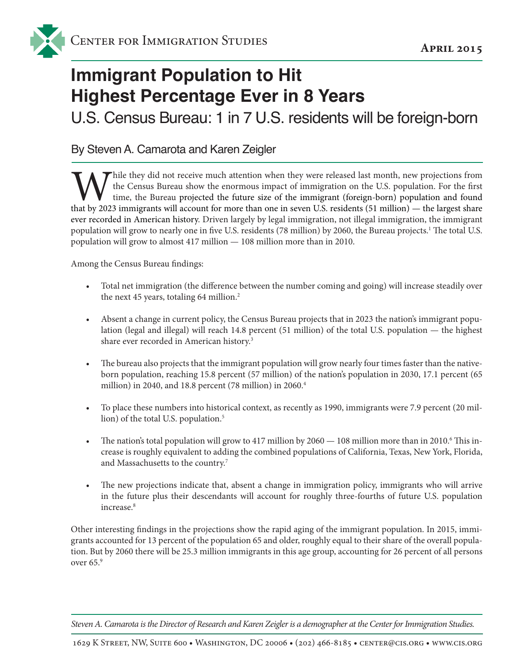## **Immigrant Population to Hit Highest Percentage Ever in 8 Years**

U.S. Census Bureau: 1 in 7 U.S. residents will be foreign-born

By Steven A. Camarota and Karen Zeigler

Thile they did not receive much attention when they were released last month, new projections from the Census Bureau show the enormous impact of immigration on the U.S. population. For the first time, the Bureau projected the future size of the immigrant (foreign-born) population and found that by 2023 immigrants will account for more than one in seven U.S. residents (51 million) — the largest share ever recorded in American history. Driven largely by legal immigration, not illegal immigration, the immigrant population will grow to nearly one in five U.S. residents (78 million) by 2060, the Bureau projects.1 The total U.S. population will grow to almost 417 million — 108 million more than in 2010.

Among the Census Bureau findings:

- Total net immigration (the difference between the number coming and going) will increase steadily over the next 45 years, totaling 64 million.<sup>2</sup>
- Absent a change in current policy, the Census Bureau projects that in 2023 the nation's immigrant population (legal and illegal) will reach 14.8 percent (51 million) of the total U.S. population — the highest share ever recorded in American history.3
- The bureau also projects that the immigrant population will grow nearly four times faster than the nativeborn population, reaching 15.8 percent (57 million) of the nation's population in 2030, 17.1 percent (65 million) in 2040, and 18.8 percent (78 million) in 2060.4
- To place these numbers into historical context, as recently as 1990, immigrants were 7.9 percent (20 million) of the total U.S. population.<sup>5</sup>
- The nation's total population will grow to 417 million by 2060 108 million more than in 2010.<sup>6</sup> This increase is roughly equivalent to adding the combined populations of California, Texas, New York, Florida, and Massachusetts to the country.7
- The new projections indicate that, absent a change in immigration policy, immigrants who will arrive in the future plus their descendants will account for roughly three-fourths of future U.S. population increase.<sup>8</sup>

Other interesting findings in the projections show the rapid aging of the immigrant population. In 2015, immigrants accounted for 13 percent of the population 65 and older, roughly equal to their share of the overall population. But by 2060 there will be 25.3 million immigrants in this age group, accounting for 26 percent of all persons over 65.9

*Steven A. Camarota is the Director of Research and Karen Zeigler is a demographer at the Center for Immigration Studies.*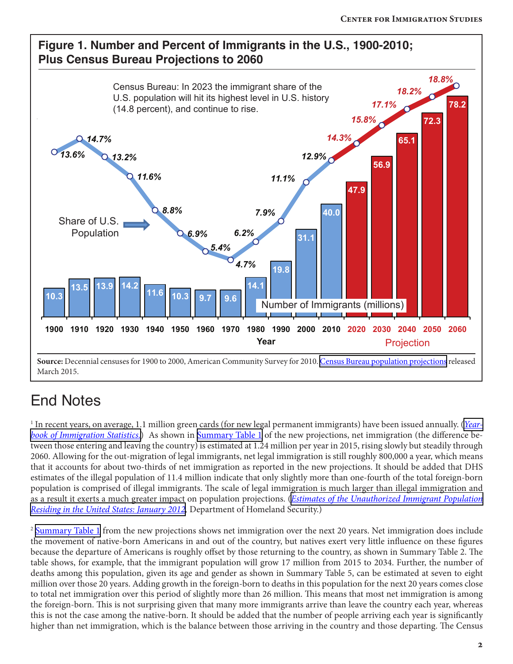

## End Notes

<sup>1</sup> In recent years, on average, 1.1 million green cards (for new legal permanent immigrants) have been issued annually. (<u>Year-</u> *[book of Immigration Statistics.](http://www.dhs.gov/yearbook-immigration-statistics)*) As shown in [Summary Table 1](https://www.census.gov/population/projections/data/national/2014/summarytables.html) of the new projections, net immigration (the difference between those entering and leaving the country) is estimated at 1.24 million per year in 2015, rising slowly but steadily through 2060. Allowing for the out-migration of legal immigrants, net legal immigration is still roughly 800,000 a year, which means that it accounts for about two-thirds of net immigration as reported in the new projections. It should be added that DHS estimates of the illegal population of 11.4 million indicate that only slightly more than one-fourth of the total foreign-born population is comprised of illegal immigrants. The scale of legal immigration is much larger than illegal immigration and as a result it exerts a much greater impact on population projections. (*[Estimates of the Unauthorized Immigrant Population](http://www.dhs.gov/sites/default/files/publications/ois_ill_pe_2012_2.pdf) [Residing in the United States: January 2012](http://www.dhs.gov/sites/default/files/publications/ois_ill_pe_2012_2.pdf),* Department of Homeland Security.)

<sup>2</sup> [Summary Table 1](https://www.census.gov/population/projections/data/national/2014/summarytables.html) from the new projections shows net immigration over the next 20 years. Net immigration does include the movement of native-born Americans in and out of the country, but natives exert very little influence on these figures because the departure of Americans is roughly offset by those returning to the country, as shown in Summary Table 2. The table shows, for example, that the immigrant population will grow 17 million from 2015 to 2034. Further, the number of deaths among this population, given its age and gender as shown in Summary Table 5, can be estimated at seven to eight million over those 20 years. Adding growth in the foreign-born to deaths in this population for the next 20 years comes close to total net immigration over this period of slightly more than 26 million. This means that most net immigration is among the foreign-born. This is not surprising given that many more immigrants arrive than leave the country each year, whereas this is not the case among the native-born. It should be added that the number of people arriving each year is significantly higher than net immigration, which is the balance between those arriving in the country and those departing. The Census